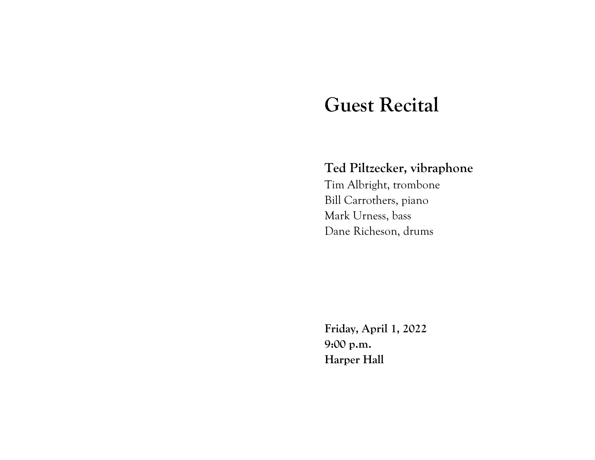## **Guest Recital**

## **Ted Piltzecker, vibraphone**

Tim Albright, trombone Bill Carrothers, piano Mark Urness, bass Dane Richeson, drums

**Friday, April 1, 2022 9:00 p.m. Harper Hall**